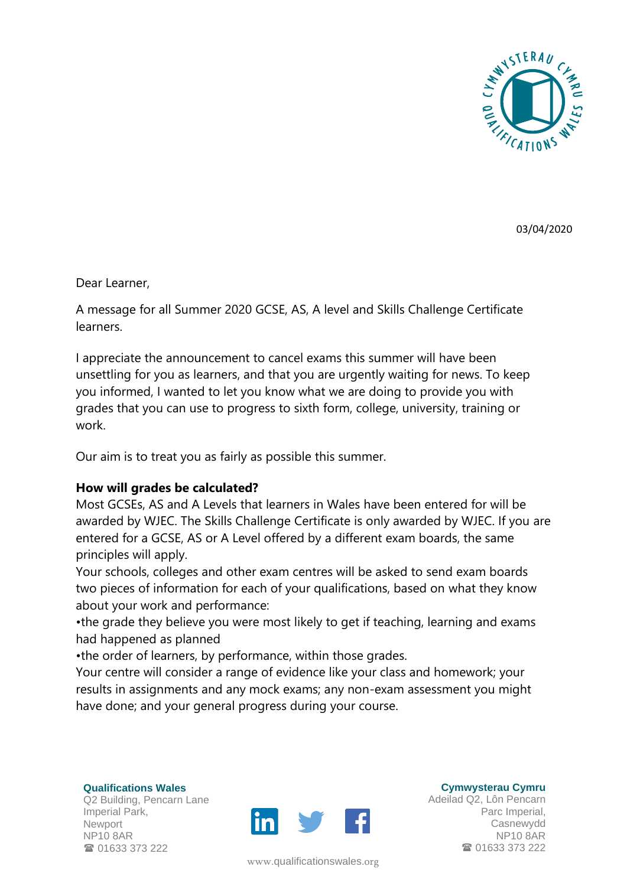

03/04/2020

Dear Learner,

A message for all Summer 2020 GCSE, AS, A level and Skills Challenge Certificate learners.

I appreciate the announcement to cancel exams this summer will have been unsettling for you as learners, and that you are urgently waiting for news. To keep you informed, I wanted to let you know what we are doing to provide you with grades that you can use to progress to sixth form, college, university, training or work.

Our aim is to treat you as fairly as possible this summer.

## **How will grades be calculated?**

Most GCSEs, AS and A Levels that learners in Wales have been entered for will be awarded by WJEC. The Skills Challenge Certificate is only awarded by WJEC. If you are entered for a GCSE, AS or A Level offered by a different exam boards, the same principles will apply.

Your schools, colleges and other exam centres will be asked to send exam boards two pieces of information for each of your qualifications, based on what they know about your work and performance:

•the grade they believe you were most likely to get if teaching, learning and exams had happened as planned

•the order of learners, by performance, within those grades.

Your centre will consider a range of evidence like your class and homework; your results in assignments and any mock exams; any non-exam assessment you might have done; and your general progress during your course.

**Qualifications Wales** Q2 Building, Pencarn Lane Imperial Park, Newport NP10 8AR **雷 01633 373 222** 



www.[qualificationswales](http://qualificationswales.org/Splash).org

**Cymwysterau Cymru**

Adeilad Q2, Lôn Pencarn Parc Imperial, Casnewydd NP10 8AR ■ 01633 373 222